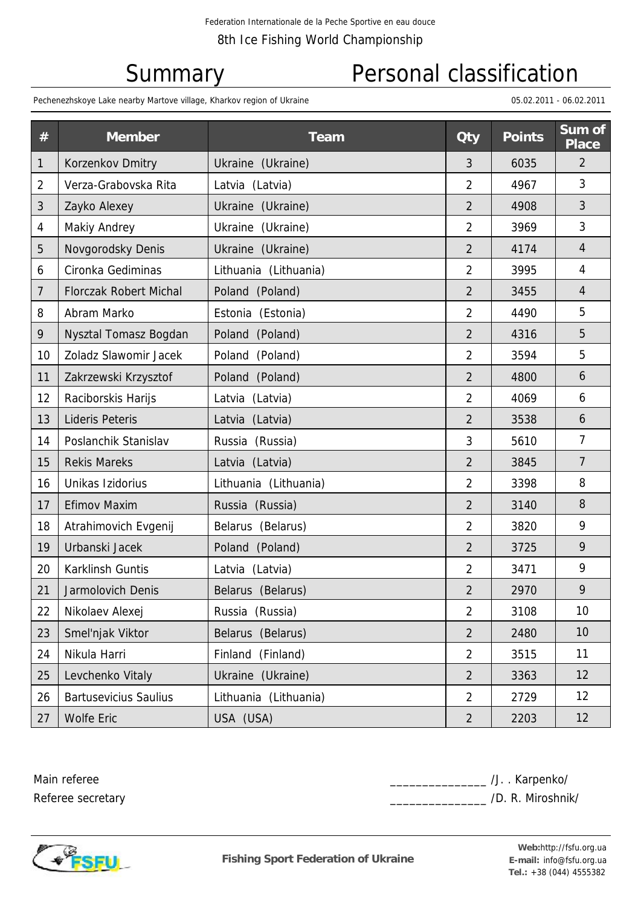# Summary Personal classification

Pechenezhskoye Lake nearby Martove village, Kharkov region of Ukraine 05.02.2011 - 06.02.2011 - 06.02.2011 - 06.02.2011

| $\#$ | <b>Member</b>                 | <b>Team</b>           | <b>Qty</b>     | <b>Points</b> | Sum of<br><b>Place</b> |
|------|-------------------------------|-----------------------|----------------|---------------|------------------------|
| 1    | Korzenkov Dmitry              | Ukraine (Ukraine)     | 3              | 6035          | $\overline{2}$         |
| 2    | Verza-Grabovska Rita          | Latvia (Latvia)       | $\overline{2}$ | 4967          | 3                      |
| 3    | Zayko Alexey                  | Ukraine (Ukraine)     | $\overline{2}$ | 4908          | 3                      |
| 4    | <b>Makiy Andrey</b>           | Ukraine<br>(Ukraine)  | $\overline{2}$ | 3969          | 3                      |
| 5    | Novgorodsky Denis             | Ukraine (Ukraine)     | $\overline{2}$ | 4174          | $\overline{4}$         |
| 6    | Cironka Gediminas             | Lithuania (Lithuania) | $\overline{2}$ | 3995          | 4                      |
| 7    | <b>Florczak Robert Michal</b> | Poland (Poland)       | $\overline{2}$ | 3455          | $\overline{4}$         |
| 8    | Abram Marko                   | Estonia (Estonia)     | $\overline{2}$ | 4490          | 5                      |
| 9    | Nysztal Tomasz Bogdan         | Poland (Poland)       | $\overline{2}$ | 4316          | 5                      |
| 10   | Zoladz Slawomir Jacek         | Poland (Poland)       | $\overline{2}$ | 3594          | 5                      |
| 11   | Zakrzewski Krzysztof          | Poland (Poland)       | $\overline{2}$ | 4800          | 6                      |
| 12   | Raciborskis Harijs            | Latvia (Latvia)       | $\overline{2}$ | 4069          | 6                      |
| 13   | <b>Lideris Peteris</b>        | Latvia (Latvia)       | $\overline{2}$ | 3538          | 6                      |
| 14   | Poslanchik Stanislav          | Russia (Russia)       | 3              | 5610          | $\overline{7}$         |
| 15   | <b>Rekis Mareks</b>           | Latvia (Latvia)       |                | 3845          | $\overline{7}$         |
| 16   | Unikas Izidorius              | Lithuania (Lithuania) |                | 3398          | 8                      |
| 17   | Efimov Maxim                  | Russia (Russia)       | $\overline{2}$ | 3140          | 8                      |
| 18   | Atrahimovich Evgenij          | Belarus (Belarus)     |                | 3820          | 9                      |
| 19   | Urbanski Jacek                | Poland (Poland)       |                | 3725          | 9                      |
| 20   | Karklinsh Guntis              | Latvia (Latvia)       | $\overline{2}$ | 3471          | 9                      |
| 21   | Jarmolovich Denis             | Belarus (Belarus)     |                | 2970          | 9                      |
| 22   | Nikolaev Alexej               | Russia (Russia)       | $\overline{2}$ | 3108          | 10                     |
| 23   | Smel'njak Viktor              | Belarus (Belarus)     | $\overline{2}$ | 2480          | 10                     |
| 24   | Nikula Harri                  | Finland (Finland)     | $\overline{2}$ | 3515          | 11                     |
| 25   | Levchenko Vitaly              | Ukraine (Ukraine)     | $\overline{2}$ | 3363          | 12                     |
| 26   | <b>Bartusevicius Saulius</b>  | Lithuania (Lithuania) | $\overline{2}$ | 2729          | 12                     |
| 27   | <b>Wolfe Eric</b>             | USA (USA)             | $\overline{2}$ | 2203          | 12                     |

Main referee Referee secretary \_\_\_\_\_\_\_\_\_\_\_\_\_\_\_ /J. . Karpenko/ \_\_\_ /D. R. Miroshnik/



**Fishing Sport Federation of Ukraine**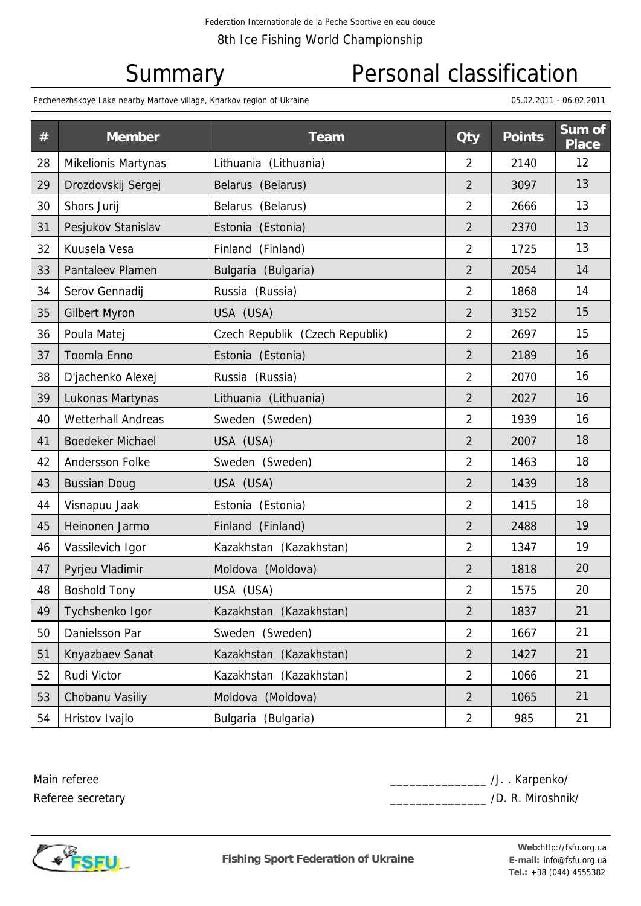# Summary Personal classification

Pechenezhskoye Lake nearby Martove village, Kharkov region of Ukraine 05.02.2011 - 06.02.2011 - 06.02.2011 - 06.02.2011

| #  | <b>Member</b>             | <b>Team</b>                     | <b>Qty</b>              | <b>Points</b> | Sum of<br><b>Place</b> |  |
|----|---------------------------|---------------------------------|-------------------------|---------------|------------------------|--|
| 28 | Mikelionis Martynas       | Lithuania (Lithuania)           | $\overline{2}$          | 2140          | 12                     |  |
| 29 | Drozdovskij Sergej        | Belarus (Belarus)               | $\overline{2}$          | 3097          | 13                     |  |
| 30 | Shors Jurij               | Belarus (Belarus)               | $\overline{2}$          | 2666          | 13                     |  |
| 31 | Pesjukov Stanislav        | Estonia (Estonia)               | $\overline{2}$          | 2370          | 13                     |  |
| 32 | Kuusela Vesa              | Finland (Finland)               | $\overline{2}$          | 1725          | 13                     |  |
| 33 | Pantaleev Plamen          | Bulgaria (Bulgaria)             | $\overline{2}$          | 2054          | 14                     |  |
| 34 | Serov Gennadij            | Russia (Russia)                 | $\overline{2}$          | 1868          | 14                     |  |
| 35 | <b>Gilbert Myron</b>      | USA (USA)                       | $\overline{2}$          | 3152          | 15                     |  |
| 36 | Poula Matej               | Czech Republik (Czech Republik) | $\overline{2}$          | 2697          | 15                     |  |
| 37 | Toomla Enno               | Estonia (Estonia)               | $\overline{2}$          | 2189          | 16                     |  |
| 38 | D'jachenko Alexej         | Russia (Russia)                 | $\overline{2}$          | 2070          | 16                     |  |
| 39 | Lukonas Martynas          | Lithuania (Lithuania)           | $\overline{2}$          | 2027          | 16                     |  |
| 40 | <b>Wetterhall Andreas</b> | Sweden (Sweden)                 | $\overline{2}$          | 1939          | 16                     |  |
| 41 | <b>Boedeker Michael</b>   | USA (USA)                       | $\overline{2}$          | 2007          | 18                     |  |
| 42 | Andersson Folke           | Sweden (Sweden)                 | $\overline{2}$          | 1463          | 18                     |  |
| 43 | <b>Bussian Doug</b>       | USA (USA)                       | $\overline{2}$          | 1439          | 18                     |  |
| 44 | Visnapuu Jaak             | Estonia (Estonia)               | $\overline{2}$          | 1415          | 18                     |  |
| 45 | Heinonen Jarmo            | Finland (Finland)               | $\overline{2}$          | 2488          | 19                     |  |
| 46 | Vassilevich Igor          | Kazakhstan (Kazakhstan)         | $\overline{2}$          | 1347          | 19                     |  |
| 47 | Pyrjeu Vladimir           | Moldova (Moldova)               | $\overline{2}$          | 1818          | 20                     |  |
| 48 | <b>Boshold Tony</b>       | USA (USA)                       | $\overline{\mathbf{c}}$ | 1575          | 20                     |  |
| 49 | Tychshenko Igor           | Kazakhstan (Kazakhstan)         | $\overline{2}$          | 1837          | 21                     |  |
| 50 | Danielsson Par            | Sweden (Sweden)                 | $\overline{2}$          | 1667          | 21                     |  |
| 51 | Knyazbaev Sanat           | Kazakhstan (Kazakhstan)         | $\overline{2}$          | 1427          | 21                     |  |
| 52 | Rudi Victor               | Kazakhstan (Kazakhstan)         | $\overline{2}$          | 1066          | 21                     |  |
| 53 | Chobanu Vasiliy           | Moldova (Moldova)               | $\overline{2}$          | 1065          | 21                     |  |
| 54 | Hristov Ivajlo            | Bulgaria (Bulgaria)             | $\overline{2}$          | 985           | 21                     |  |

Main referee Referee secretary \_\_\_\_\_\_\_\_\_\_\_\_\_\_\_ /J. . Karpenko/ \_\_\_ /D. R. Miroshnik/



**Fishing Sport Federation of Ukraine**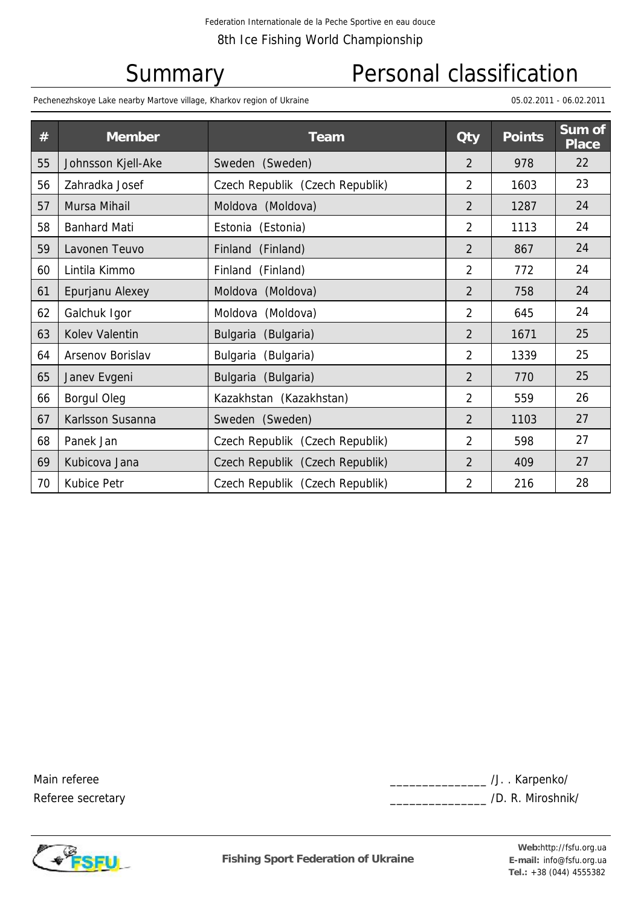### Summary Personal classification

Pechenezhskoye Lake nearby Martove village, Kharkov region of Ukraine 05.02.2011 - 06.02.2011 - 06.02.2011 - 06.02.2011

| #  | <b>Member</b>           | <b>Team</b>                     | <b>Qty</b>     | <b>Points</b> | Sum of<br><b>Place</b> |
|----|-------------------------|---------------------------------|----------------|---------------|------------------------|
| 55 | Johnsson Kjell-Ake      | Sweden (Sweden)                 |                | 978           | 22                     |
| 56 | Zahradka Josef          | Czech Republik (Czech Republik) | $\overline{2}$ | 1603          | 23                     |
| 57 | Mursa Mihail            | Moldova (Moldova)               | $\overline{2}$ | 1287          | 24                     |
| 58 | <b>Banhard Mati</b>     | Estonia (Estonia)               | $\overline{2}$ | 1113          | 24                     |
| 59 | Lavonen Teuvo           | Finland (Finland)               | $\overline{2}$ | 867           | 24                     |
| 60 | Lintila Kimmo           | Finland (Finland)               |                | 772           | 24                     |
| 61 | Epurjanu Alexey         | Moldova (Moldova)               | $\overline{2}$ | 758           | 24                     |
| 62 | Galchuk Igor            | (Moldova)<br>Moldova            | $\overline{2}$ | 645           | 24                     |
| 63 | Kolev Valentin          | Bulgaria (Bulgaria)             | 2              | 1671          | 25                     |
| 64 | <b>Arsenov Borislav</b> | Bulgaria (Bulgaria)             | $\overline{2}$ | 1339          | 25                     |
| 65 | Janev Evgeni            | Bulgaria (Bulgaria)             | $\overline{2}$ | 770           | 25                     |
| 66 | <b>Borgul Oleg</b>      | Kazakhstan (Kazakhstan)         | 2              | 559           | 26                     |
| 67 | Karlsson Susanna        | Sweden (Sweden)                 | $\overline{2}$ | 1103          | 27                     |
| 68 | Panek Jan               | Czech Republik (Czech Republik) | $\overline{2}$ | 598           | 27                     |
| 69 | Kubicova Jana           | Czech Republik (Czech Republik) | 2              | 409           | 27                     |
| 70 | <b>Kubice Petr</b>      | Czech Republik (Czech Republik) | $\overline{2}$ | 216           | 28                     |

Main referee Referee secretary \_\_\_\_\_\_\_\_\_\_\_\_\_\_\_ /J. . Karpenko/ \_\_\_ /D. R. Miroshnik/



**Fishing Sport Federation of Ukraine** 

**Tel.:** +38 (044) 4555382 Web:http://fsfu.org.ua E-mail: info@fsfu.org.ua